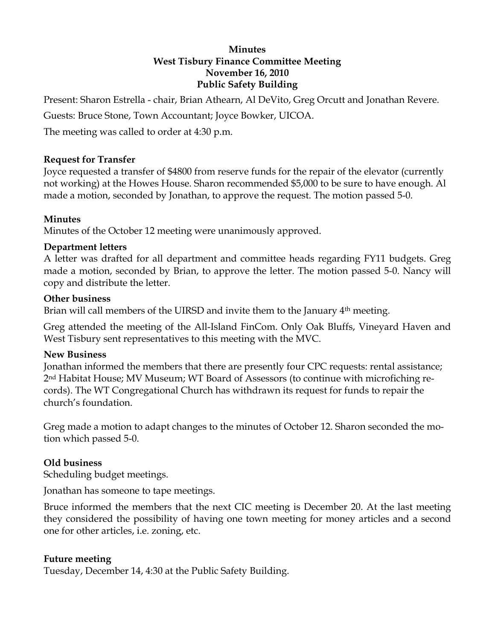### **Minutes West Tisbury Finance Committee Meeting November 16, 2010 Public Safety Building**

Present: Sharon Estrella - chair, Brian Athearn, Al DeVito, Greg Orcutt and Jonathan Revere.

Guests: Bruce Stone, Town Accountant; Joyce Bowker, UICOA.

The meeting was called to order at 4:30 p.m.

## **Request for Transfer**

Joyce requested a transfer of \$4800 from reserve funds for the repair of the elevator (currently not working) at the Howes House. Sharon recommended \$5,000 to be sure to have enough. Al made a motion, seconded by Jonathan, to approve the request. The motion passed 5-0.

# **Minutes**

Minutes of the October 12 meeting were unanimously approved.

## **Department letters**

A letter was drafted for all department and committee heads regarding FY11 budgets. Greg made a motion, seconded by Brian, to approve the letter. The motion passed 5-0. Nancy will copy and distribute the letter.

## **Other business**

Brian will call members of the UIRSD and invite them to the January 4<sup>th</sup> meeting.

Greg attended the meeting of the All-Island FinCom. Only Oak Bluffs, Vineyard Haven and West Tisbury sent representatives to this meeting with the MVC.

# **New Business**

Jonathan informed the members that there are presently four CPC requests: rental assistance; 2nd Habitat House; MV Museum; WT Board of Assessors (to continue with microfiching records). The WT Congregational Church has withdrawn its request for funds to repair the church's foundation.

Greg made a motion to adapt changes to the minutes of October 12. Sharon seconded the motion which passed 5-0.

# **Old business**

Scheduling budget meetings.

Jonathan has someone to tape meetings.

Bruce informed the members that the next CIC meeting is December 20. At the last meeting they considered the possibility of having one town meeting for money articles and a second one for other articles, i.e. zoning, etc.

# **Future meeting**

Tuesday, December 14, 4:30 at the Public Safety Building.